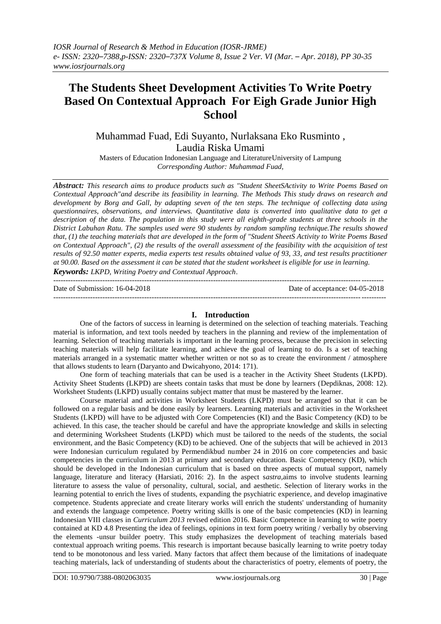# **The Students Sheet Development Activities To Write Poetry Based On Contextual Approach For Eigh Grade Junior High School**

Muhammad Fuad, Edi Suyanto, Nurlaksana Eko Rusminto , Laudia Riska Umami

Masters of Education Indonesian Language and LiteratureUniversity of Lampung *Corresponding Author: Muhammad Fuad,*

*Abstract: This research aims to produce products such as "Student SheetSActivity to Write Poems Based on Contextual Approach"and describe its feasibility in learning. The Methods This study draws on research and development by Borg and Gall, by adapting seven of the ten steps. The technique of collecting data using questionnaires, observations, and interviews. Quantitative data is converted into qualitative data to get a description of the data. The population in this study were all eighth-grade students at three schools in the District Labuhan Ratu. The samples used were 90 students by random sampling technique.The results showed that, (1) the teaching materials that are developed in the form of "Student SheetS Activity to Write Poems Based on Contextual Approach", (2) the results of the overall assessment of the feasibility with the acquisition of test results of 92.50 matter experts, media experts test results obtained value of 93, 33, and test results practitioner at 90.00. Based on the assessment it can be stated that the student worksheet is eligible for use in learning.*

*Keywords: LKPD, Writing Poetry and Contextual Approach*.

-------------------------------------------------------------------------------------------------------------------------------------- Date of Submission: 16-04-2018 Date of acceptance: 04-05-2018 ---------------------------------------------------------------------------------------------------------------------------------------

## **I. Introduction**

One of the factors of success in learning is determined on the selection of teaching materials. Teaching material is information, and text tools needed by teachers in the planning and review of the implementation of learning. Selection of teaching materials is important in the learning process, because the precision in selecting teaching materials will help facilitate learning, and achieve the goal of learning to do. Is a set of teaching materials arranged in a systematic matter whether written or not so as to create the environment / atmosphere that allows students to learn (Daryanto and Dwicahyono, 2014: 171).

One form of teaching materials that can be used is a teacher in the Activity Sheet Students (LKPD). Activity Sheet Students (LKPD) are sheets contain tasks that must be done by learners (Depdiknas, 2008: 12). Worksheet Students (LKPD) usually contains subject matter that must be mastered by the learner.

Course material and activities in Worksheet Students (LKPD) must be arranged so that it can be followed on a regular basis and be done easily by learners. Learning materials and activities in the Worksheet Students (LKPD) will have to be adjusted with Core Competencies (KI) and the Basic Competency (KD) to be achieved. In this case, the teacher should be careful and have the appropriate knowledge and skills in selecting and determining Worksheet Students (LKPD) which must be tailored to the needs of the students, the social environment, and the Basic Competency (KD) to be achieved. One of the subjects that will be achieved in 2013 were Indonesian curriculum regulated by Permendikbud number 24 in 2016 on core competencies and basic competencies in the curriculum in 2013 at primary and secondary education. Basic Competency (KD), which should be developed in the Indonesian curriculum that is based on three aspects of mutual support, namely language, literature and literacy (Harsiati, 2016: 2). In the aspect s*astra,*aims to involve students learning literature to assess the value of personality, cultural, social, and aesthetic. Selection of literary works in the learning potential to enrich the lives of students, expanding the psychiatric experience, and develop imaginative competence. Students appreciate and create literary works will enrich the students' understanding of humanity and extends the language competence. Poetry writing skills is one of the basic competencies (KD) in learning Indonesian VIII classes in *Curriculum 2013* revised edition 2016. Basic Competence in learning to write poetry contained at KD 4.8 Presenting the idea of feelings, opinions in text form poetry writing / verbally by observing the elements -unsur builder poetry. This study emphasizes the development of teaching materials based contextual approach writing poems. This research is important because basically learning to write poetry today tend to be monotonous and less varied. Many factors that affect them because of the limitations of inadequate teaching materials, lack of understanding of students about the characteristics of poetry, elements of poetry, the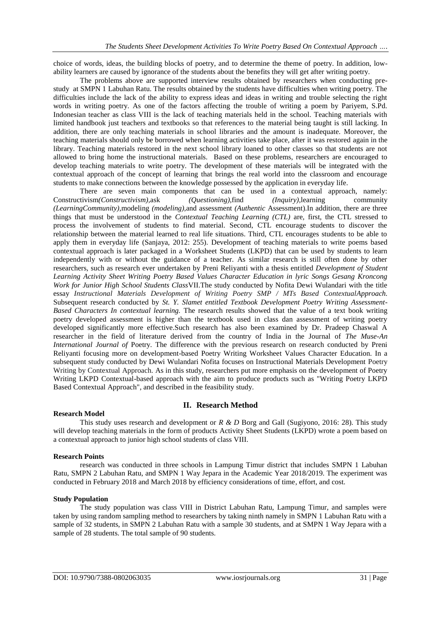choice of words, ideas, the building blocks of poetry, and to determine the theme of poetry. In addition, lowability learners are caused by ignorance of the students about the benefits they will get after writing poetry.

The problems above are supported interview results obtained by researchers when conducting prestudy at SMPN 1 Labuhan Ratu. The results obtained by the students have difficulties when writing poetry. The difficulties include the lack of the ability to express ideas and ideas in writing and trouble selecting the right words in writing poetry. As one of the factors affecting the trouble of writing a poem by Pariyem, S.Pd. Indonesian teacher as class VIII is the lack of teaching materials held in the school. Teaching materials with limited handbook just teachers and textbooks so that references to the material being taught is still lacking. In addition, there are only teaching materials in school libraries and the amount is inadequate. Moreover, the teaching materials should only be borrowed when learning activities take place, after it was restored again in the library. Teaching materials restored in the next school library loaned to other classes so that students are not allowed to bring home the instructional materials. Based on these problems, researchers are encouraged to develop teaching materials to write poetry. The development of these materials will be integrated with the contextual approach of the concept of learning that brings the real world into the classroom and encourage students to make connections between the knowledge possessed by the application in everyday life.

There are seven main components that can be used in a contextual approach, namely:<br>tivism(*Constructivism*),ask (*Questioning*),find (*Inquiry*),learning community Constructivism*(Constructivism),*ask *(Questioning),*find *(Inquiry),*learning community *(LearningCommunity),*modeling *(modeling),*and assessment *(Authentic* Assessment).In addition, there are three things that must be understood in the *Contextual Teaching Learning (CTL)* are, first, the CTL stressed to process the involvement of students to find material. Second, CTL encourage students to discover the relationship between the material learned to real life situations. Third, CTL encourages students to be able to apply them in everyday life (Sanjaya, 2012: 255). Development of teaching materials to write poems based contextual approach is later packaged in a Worksheet Students (LKPD) that can be used by students to learn independently with or without the guidance of a teacher. As similar research is still often done by other researchers, such as research ever undertaken by Preni Reliyanti with a thesis entitled *Development of Student Learning Activity Sheet Writing Poetry Based Values Character Education in lyric Songs Gesang Kroncong Work for Junior High School Students Class*VII.The study conducted by Nofita Dewi Wulandari with the title essay *Instructional Materials Development of Writing Poetry SMP / MTs Based ContextualApproach.*  Subsequent research conducted by *St. Y. Slamet entitled Textbook Development Poetry Writing Assessment-Based Characters In contextual learning.* The research results showed that the value of a text book writing poetry developed assessment is higher than the textbook used in class dan assessment of writing poetry developed significantly more effective.Such research has also been examined by Dr. Pradeep Chaswal A researcher in the field of literature derived from the country of India in the Journal of *The Muse-An International Journal of Poetry. The difference with the previous research on research conducted by Preni* Reliyanti focusing more on development-based Poetry Writing Worksheet Values Character Education. In a subsequent study conducted by Dewi Wulandari Nofita focuses on Instructional Materials Development Poetry Writing by Contextual Approach. As in this study, researchers put more emphasis on the development of Poetry Writing LKPD Contextual-based approach with the aim to produce products such as "Writing Poetry LKPD Based Contextual Approach", and described in the feasibility study.

## **II. Research Method**

#### **Research Model**

This study uses research and development or *R & D* Borg and Gall (Sugiyono, 2016: 28). This study will develop teaching materials in the form of products Activity Sheet Students (LKPD) wrote a poem based on a contextual approach to junior high school students of class VIII.

## **Research Points**

research was conducted in three schools in Lampung Timur district that includes SMPN 1 Labuhan Ratu, SMPN 2 Labuhan Ratu, and SMPN 1 Way Jepara in the Academic Year 2018/2019. The experiment was conducted in February 2018 and March 2018 by efficiency considerations of time, effort, and cost.

#### **Study Population**

The study population was class VIII in District Labuhan Ratu, Lampung Timur, and samples were taken by using random sampling method to researchers by taking ninth namely in SMPN 1 Labuhan Ratu with a sample of 32 students, in SMPN 2 Labuhan Ratu with a sample 30 students, and at SMPN 1 Way Jepara with a sample of 28 students. The total sample of 90 students.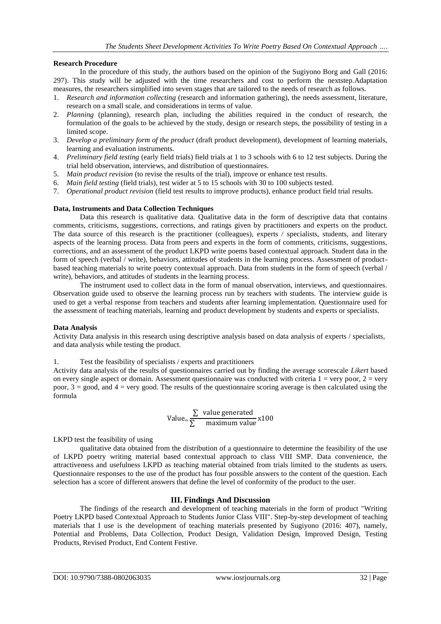## **Research Procedure**

In the procedure of this study, the authors based on the opinion of the Sugiyono Borg and Gall (2016: 297). This study will be adjusted with the time researchers and cost to perform the nextstep.Adaptation measures, the researchers simplified into seven stages that are tailored to the needs of research as follows.

- 1. *Research and information collecting* (research and information gathering), the needs assessment, literature, research on a small scale, and considerations in terms of value.
- 2. *Planning* (planning), research plan, including the abilities required in the conduct of research, the formulation of the goals to be achieved by the study, design or research steps, the possibility of testing in a limited scope.
- 3. *Develop a preliminary form of the product* (draft product development), development of learning materials, learning and evaluation instruments.
- 4. *Preliminary field testing* (early field trials) field trials at 1 to 3 schools with 6 to 12 test subjects. During the trial held observation, interviews, and distribution of questionnaires.
- 5. *Main product revision* (to revise the results of the trial), improve or enhance test results.
- 6. *Main field testing* (field trials), test wider at 5 to 15 schools with 30 to 100 subjects tested.
- 7. *Operational product revision* (field test results to improve products), enhance product field trial results.

#### **Data, Instruments and Data Collection Techniques**

Data this research is qualitative data. Qualitative data in the form of descriptive data that contains comments, criticisms, suggestions, corrections, and ratings given by practitioners and experts on the product. The data source of this research is the practitioner (colleagues), experts / specialists, students, and literary aspects of the learning process. Data from peers and experts in the form of comments, criticisms, suggestions, corrections, and an assessment of the product LKPD write poems based contextual approach. Student data in the form of speech (verbal / write), behaviors, attitudes of students in the learning process. Assessment of productbased teaching materials to write poetry contextual approach. Data from students in the form of speech (verbal / write), behaviors, and attitudes of students in the learning process.

The instrument used to collect data in the form of manual observation, interviews, and questionnaires. Observation guide used to observe the learning process run by teachers with students. The interview guide is used to get a verbal response from teachers and students after learning implementation. Questionnaire used for the assessment of teaching materials, learning and product development by students and experts or specialists.

#### **Data Analysis**

Activity Data analysis in this research using descriptive analysis based on data analysis of experts / specialists, and data analysis while testing the product.

1. Test the feasibility of specialists / experts and practitioners

Activity data analysis of the results of questionnaires carried out by finding the average scorescale *Likert* based on every single aspect or domain. Assessment questionnaire was conducted with criteria  $1 =$  very poor,  $2 =$  very poor,  $3 = \text{good}$ , and  $4 = \text{very good}$ . The results of the questionnaire scoring average is then calculated using the formula

Value=
$$
\frac{\Sigma \text{ value generated}}{\Sigma \text{ maximum value}} \times 100
$$

LKPD test the feasibility of using

qualitative data obtained from the distribution of a questionnaire to determine the feasibility of the use of LKPD poetry writing material based contextual approach to class VIII SMP. Data convenience, the attractiveness and usefulness LKPD as teaching material obtained from trials limited to the students as users. Questionnaire responses to the use of the product has four possible answers to the content of the question. Each selection has a score of different answers that define the level of conformity of the product to the user.

## **III. Findings And Discussion**

The findings of the research and development of teaching materials in the form of product "Writing Poetry LKPD based Contextual Approach to Students Junior Class VIII". Step-by-step development of teaching materials that I use is the development of teaching materials presented by Sugiyono (2016: 407), namely, Potential and Problems, Data Collection, Product Design, Validation Design, Improved Design, Testing Products, Revised Product, End Content Festive.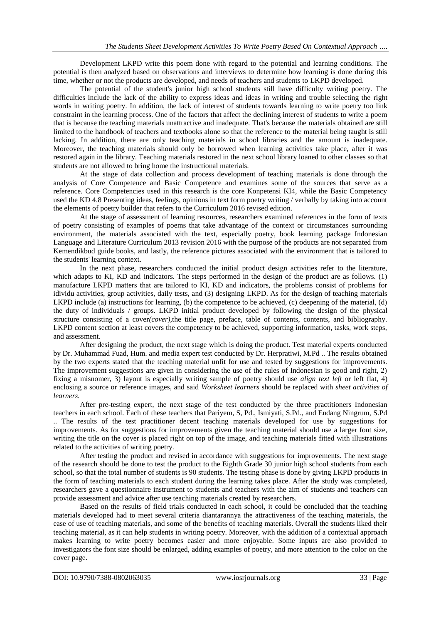Development LKPD write this poem done with regard to the potential and learning conditions. The potential is then analyzed based on observations and interviews to determine how learning is done during this time, whether or not the products are developed, and needs of teachers and students to LKPD developed.

The potential of the student's junior high school students still have difficulty writing poetry. The difficulties include the lack of the ability to express ideas and ideas in writing and trouble selecting the right words in writing poetry. In addition, the lack of interest of students towards learning to write poetry too link constraint in the learning process. One of the factors that affect the declining interest of students to write a poem that is because the teaching materials unattractive and inadequate. That's because the materials obtained are still limited to the handbook of teachers and textbooks alone so that the reference to the material being taught is still lacking. In addition, there are only teaching materials in school libraries and the amount is inadequate. Moreover, the teaching materials should only be borrowed when learning activities take place, after it was restored again in the library. Teaching materials restored in the next school library loaned to other classes so that students are not allowed to bring home the instructional materials.

At the stage of data collection and process development of teaching materials is done through the analysis of Core Competence and Basic Competence and examines some of the sources that serve as a reference. Core Competencies used in this research is the core Konpetensi KI4, while the Basic Competency used the KD 4.8 Presenting ideas, feelings, opinions in text form poetry writing / verbally by taking into account the elements of poetry builder that refers to the Curriculum 2016 revised edition.

At the stage of assessment of learning resources, researchers examined references in the form of texts of poetry consisting of examples of poems that take advantage of the context or circumstances surrounding environment, the materials associated with the text, especially poetry, book learning package Indonesian Language and Literature Curriculum 2013 revision 2016 with the purpose of the products are not separated from Kemendikbud guide books, and lastly, the reference pictures associated with the environment that is tailored to the students' learning context.

In the next phase, researchers conducted the initial product design activities refer to the literature, which adapts to KI, KD and indicators. The steps performed in the design of the product are as follows. (1) manufacture LKPD matters that are tailored to KI, KD and indicators, the problems consist of problems for idividu activities, group activities, daily tests, and (3) designing LKPD. As for the design of teaching materials LKPD include (a) instructions for learning, (b) the competence to be achieved, (c) deepening of the material, (d) the duty of individuals / groups. LKPD initial product developed by following the design of the physical structure consisting of a cover*(cover),*the title page, preface, table of contents, contents, and bibliography. LKPD content section at least covers the competency to be achieved, supporting information, tasks, work steps, and assessment.

After designing the product, the next stage which is doing the product. Test material experts conducted by Dr. Muhammad Fuad, Hum. and media expert test conducted by Dr. Herpratiwi, M.Pd .. The results obtained by the two experts stated that the teaching material unfit for use and tested by suggestions for improvements. The improvement suggestions are given in considering the use of the rules of Indonesian is good and right, 2) fixing a misnomer, 3) layout is especially writing sample of poetry should use *align text left* or left flat, 4) enclosing a source or reference images, and said *Worksheet learners* should be replaced with *sheet activities of learners.*

After pre-testing expert, the next stage of the test conducted by the three practitioners Indonesian teachers in each school. Each of these teachers that Pariyem, S, Pd., Ismiyati, S.Pd., and Endang Ningrum, S.Pd .. The results of the test practitioner decent teaching materials developed for use by suggestions for improvements. As for suggestions for improvements given the teaching material should use a larger font size, writing the title on the cover is placed right on top of the image, and teaching materials fitted with illustrations related to the activities of writing poetry.

After testing the product and revised in accordance with suggestions for improvements. The next stage of the research should be done to test the product to the Eighth Grade 30 junior high school students from each school, so that the total number of students is 90 students. The testing phase is done by giving LKPD products in the form of teaching materials to each student during the learning takes place. After the study was completed, researchers gave a questionnaire instrument to students and teachers with the aim of students and teachers can provide assessment and advice after use teaching materials created by researchers.

Based on the results of field trials conducted in each school, it could be concluded that the teaching materials developed had to meet several criteria diantarannya the attractiveness of the teaching materials, the ease of use of teaching materials, and some of the benefits of teaching materials. Overall the students liked their teaching material, as it can help students in writing poetry. Moreover, with the addition of a contextual approach makes learning to write poetry becomes easier and more enjoyable. Some inputs are also provided to investigators the font size should be enlarged, adding examples of poetry, and more attention to the color on the cover page.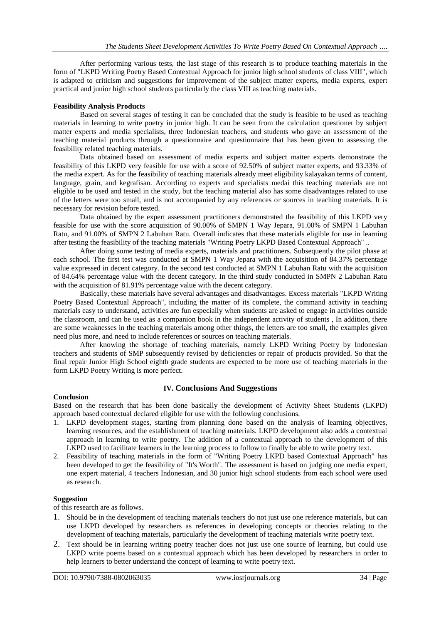After performing various tests, the last stage of this research is to produce teaching materials in the form of "LKPD Writing Poetry Based Contextual Approach for junior high school students of class VIII", which is adapted to criticism and suggestions for improvement of the subject matter experts, media experts, expert practical and junior high school students particularly the class VIII as teaching materials.

#### **Feasibility Analysis Products**

Based on several stages of testing it can be concluded that the study is feasible to be used as teaching materials in learning to write poetry in junior high. It can be seen from the calculation questioner by subject matter experts and media specialists, three Indonesian teachers, and students who gave an assessment of the teaching material products through a questionnaire and questionnaire that has been given to assessing the feasibility related teaching materials.

Data obtained based on assessment of media experts and subject matter experts demonstrate the feasibility of this LKPD very feasible for use with a score of 92.50% of subject matter experts, and 93.33% of the media expert. As for the feasibility of teaching materials already meet eligibility kalayakan terms of content, language, grain, and kegrafisan. According to experts and specialists medai this teaching materials are not eligible to be used and tested in the study, but the teaching material also has some disadvantages related to use of the letters were too small, and is not accompanied by any references or sources in teaching materials. It is necessary for revision before tested.

Data obtained by the expert assessment practitioners demonstrated the feasibility of this LKPD very feasible for use with the score acquisition of 90.00% of SMPN 1 Way Jepara, 91.00% of SMPN 1 Labuhan Ratu, and 91.00% of SMPN 2 Labuhan Ratu. Overall indicates that these materials eligible for use in learning after testing the feasibility of the teaching materials "Writing Poetry LKPD Based Contextual Approach" ..

After doing some testing of media experts, materials and practitioners. Subsequently the pilot phase at each school. The first test was conducted at SMPN 1 Way Jepara with the acquisition of 84.37% percentage value expressed in decent category. In the second test conducted at SMPN 1 Labuhan Ratu with the acquisition of 84.64% percentage value with the decent category. In the third study conducted in SMPN 2 Labuhan Ratu with the acquisition of 81.91% percentage value with the decent category.

Basically, these materials have several advantages and disadvantages. Excess materials "LKPD Writing Poetry Based Contextual Approach", including the matter of its complete, the command activity in teaching materials easy to understand, activities are fun especially when students are asked to engage in activities outside the classroom, and can be used as a companion book in the independent activity of students , In addition, there are some weaknesses in the teaching materials among other things, the letters are too small, the examples given need plus more, and need to include references or sources on teaching materials.

After knowing the shortage of teaching materials, namely LKPD Writing Poetry by Indonesian teachers and students of SMP subsequently revised by deficiencies or repair of products provided. So that the final repair Junior High School eighth grade students are expected to be more use of teaching materials in the form LKPD Poetry Writing is more perfect.

## **IV. Conclusions And Suggestions**

#### **Conclusion**

Based on the research that has been done basically the development of Activity Sheet Students (LKPD) approach based contextual declared eligible for use with the following conclusions.

- 1. LKPD development stages, starting from planning done based on the analysis of learning objectives, learning resources, and the establishment of teaching materials. LKPD development also adds a contextual approach in learning to write poetry. The addition of a contextual approach to the development of this LKPD used to facilitate learners in the learning process to follow to finally be able to write poetry text.
- 2. Feasibility of teaching materials in the form of "Writing Poetry LKPD based Contextual Approach" has been developed to get the feasibility of "It's Worth". The assessment is based on judging one media expert, one expert material, 4 teachers Indonesian, and 30 junior high school students from each school were used as research.

#### **Suggestion**

of this research are as follows.

- 1. Should be in the development of teaching materials teachers do not just use one reference materials, but can use LKPD developed by researchers as references in developing concepts or theories relating to the development of teaching materials, particularly the development of teaching materials write poetry text.
- 2. Text should be in learning writing poetry teacher does not just use one source of learning, but could use LKPD write poems based on a contextual approach which has been developed by researchers in order to help learners to better understand the concept of learning to write poetry text.